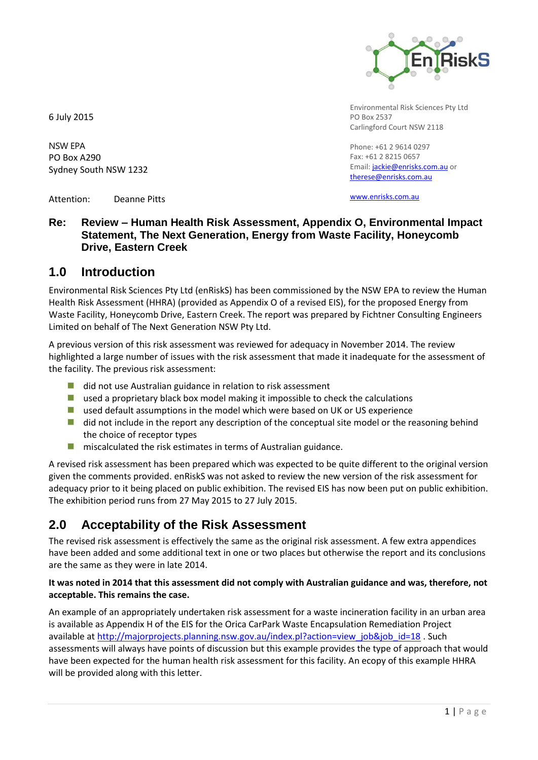

Environmental Risk Sciences Pty Ltd PO Box 2537 Carlingford Court NSW 2118

Phone: +61 2 9614 0297 Fax: +61 2 8215 0657 Email: [jackie@enrisks.com.a](mailto:jackie@enrisks.com)u or [therese@enrisks.com.](mailto:therese@enrisks.com)au

Attention: Deanne Pitts

Sydney South NSW 1232

6 July 2015

NSW EPA PO Box A290

[www.enrisks.com.au](http://www.enrisks.com.au/)

## **Re: Review – Human Health Risk Assessment, Appendix O, Environmental Impact Statement, The Next Generation, Energy from Waste Facility, Honeycomb Drive, Eastern Creek**

# **1.0 Introduction**

Environmental Risk Sciences Pty Ltd (enRiskS) has been commissioned by the NSW EPA to review the Human Health Risk Assessment (HHRA) (provided as Appendix O of a revised EIS), for the proposed Energy from Waste Facility, Honeycomb Drive, Eastern Creek. The report was prepared by Fichtner Consulting Engineers Limited on behalf of The Next Generation NSW Pty Ltd.

A previous version of this risk assessment was reviewed for adequacy in November 2014. The review highlighted a large number of issues with the risk assessment that made it inadequate for the assessment of the facility. The previous risk assessment:

- did not use Australian guidance in relation to risk assessment
- **used a proprietary black box model making it impossible to check the calculations**
- used default assumptions in the model which were based on UK or US experience
- did not include in the report any description of the conceptual site model or the reasoning behind the choice of receptor types
- $\blacksquare$  miscalculated the risk estimates in terms of Australian guidance.

A revised risk assessment has been prepared which was expected to be quite different to the original version given the comments provided. enRiskS was not asked to review the new version of the risk assessment for adequacy prior to it being placed on public exhibition. The revised EIS has now been put on public exhibition. The exhibition period runs from 27 May 2015 to 27 July 2015.

# **2.0 Acceptability of the Risk Assessment**

The revised risk assessment is effectively the same as the original risk assessment. A few extra appendices have been added and some additional text in one or two places but otherwise the report and its conclusions are the same as they were in late 2014.

### **It was noted in 2014 that this assessment did not comply with Australian guidance and was, therefore, not acceptable. This remains the case.**

An example of an appropriately undertaken risk assessment for a waste incineration facility in an urban area is available as Appendix H of the EIS for the Orica CarPark Waste Encapsulation Remediation Project available a[t http://majorprojects.planning.nsw.gov.au/index.pl?action=view\\_job&job\\_id=18](http://majorprojects.planning.nsw.gov.au/index.pl?action=view_job&job_id=18) . Such assessments will always have points of discussion but this example provides the type of approach that would have been expected for the human health risk assessment for this facility. An ecopy of this example HHRA will be provided along with this letter.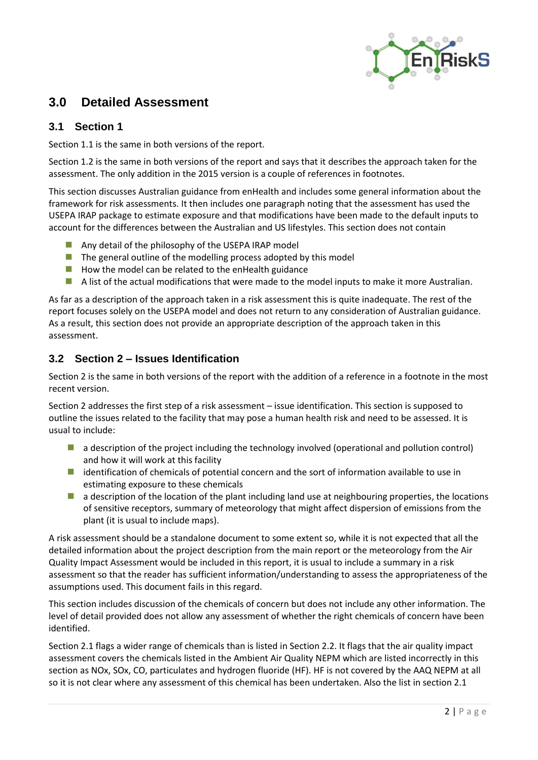

# **3.0 Detailed Assessment**

### **3.1 Section 1**

Section 1.1 is the same in both versions of the report.

Section 1.2 is the same in both versions of the report and says that it describes the approach taken for the assessment. The only addition in the 2015 version is a couple of references in footnotes.

This section discusses Australian guidance from enHealth and includes some general information about the framework for risk assessments. It then includes one paragraph noting that the assessment has used the USEPA IRAP package to estimate exposure and that modifications have been made to the default inputs to account for the differences between the Australian and US lifestyles. This section does not contain

- **Any detail of the philosophy of the USEPA IRAP model**
- $\blacksquare$  The general outline of the modelling process adopted by this model
- $\blacksquare$  How the model can be related to the enHealth guidance
- A list of the actual modifications that were made to the model inputs to make it more Australian.

As far as a description of the approach taken in a risk assessment this is quite inadequate. The rest of the report focuses solely on the USEPA model and does not return to any consideration of Australian guidance. As a result, this section does not provide an appropriate description of the approach taken in this assessment.

### **3.2 Section 2 – Issues Identification**

Section 2 is the same in both versions of the report with the addition of a reference in a footnote in the most recent version.

Section 2 addresses the first step of a risk assessment – issue identification. This section is supposed to outline the issues related to the facility that may pose a human health risk and need to be assessed. It is usual to include:

- **a** description of the project including the technology involved (operational and pollution control) and how it will work at this facility
- **I** identification of chemicals of potential concern and the sort of information available to use in estimating exposure to these chemicals
- **a** a description of the location of the plant including land use at neighbouring properties, the locations of sensitive receptors, summary of meteorology that might affect dispersion of emissions from the plant (it is usual to include maps).

A risk assessment should be a standalone document to some extent so, while it is not expected that all the detailed information about the project description from the main report or the meteorology from the Air Quality Impact Assessment would be included in this report, it is usual to include a summary in a risk assessment so that the reader has sufficient information/understanding to assess the appropriateness of the assumptions used. This document fails in this regard.

This section includes discussion of the chemicals of concern but does not include any other information. The level of detail provided does not allow any assessment of whether the right chemicals of concern have been identified.

Section 2.1 flags a wider range of chemicals than is listed in Section 2.2. It flags that the air quality impact assessment covers the chemicals listed in the Ambient Air Quality NEPM which are listed incorrectly in this section as NOx, SOx, CO, particulates and hydrogen fluoride (HF). HF is not covered by the AAQ NEPM at all so it is not clear where any assessment of this chemical has been undertaken. Also the list in section 2.1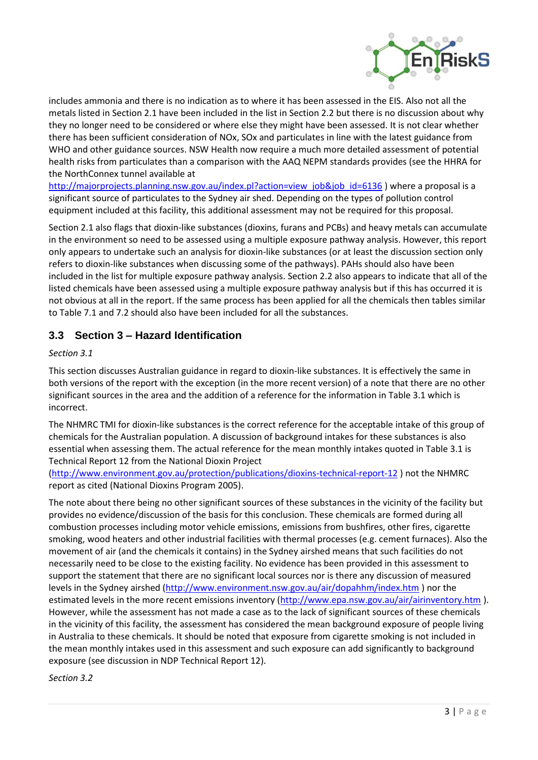

includes ammonia and there is no indication as to where it has been assessed in the EIS. Also not all the metals listed in Section 2.1 have been included in the list in Section 2.2 but there is no discussion about why they no longer need to be considered or where else they might have been assessed. It is not clear whether there has been sufficient consideration of NOx, SOx and particulates in line with the latest guidance from WHO and other guidance sources. NSW Health now require a much more detailed assessment of potential health risks from particulates than a comparison with the AAQ NEPM standards provides (see the HHRA for the NorthConnex tunnel available at

[http://majorprojects.planning.nsw.gov.au/index.pl?action=view\\_job&job\\_id=6136](http://majorprojects.planning.nsw.gov.au/index.pl?action=view_job&job_id=6136) ) where a proposal is a significant source of particulates to the Sydney air shed. Depending on the types of pollution control equipment included at this facility, this additional assessment may not be required for this proposal.

Section 2.1 also flags that dioxin-like substances (dioxins, furans and PCBs) and heavy metals can accumulate in the environment so need to be assessed using a multiple exposure pathway analysis. However, this report only appears to undertake such an analysis for dioxin-like substances (or at least the discussion section only refers to dioxin-like substances when discussing some of the pathways). PAHs should also have been included in the list for multiple exposure pathway analysis. Section 2.2 also appears to indicate that all of the listed chemicals have been assessed using a multiple exposure pathway analysis but if this has occurred it is not obvious at all in the report. If the same process has been applied for all the chemicals then tables similar to Table 7.1 and 7.2 should also have been included for all the substances.

# **3.3 Section 3 – Hazard Identification**

### *Section 3.1*

This section discusses Australian guidance in regard to dioxin-like substances. It is effectively the same in both versions of the report with the exception (in the more recent version) of a note that there are no other significant sources in the area and the addition of a reference for the information in Table 3.1 which is incorrect.

The NHMRC TMI for dioxin-like substances is the correct reference for the acceptable intake of this group of chemicals for the Australian population. A discussion of background intakes for these substances is also essential when assessing them. The actual reference for the mean monthly intakes quoted in Table 3.1 is Technical Report 12 from the National Dioxin Project

[\(http://www.environment.gov.au/protection/publications/dioxins-technical-report-12](http://www.environment.gov.au/protection/publications/dioxins-technical-report-12) ) not the NHMRC report as cited (National Dioxins Program 2005).

The note about there being no other significant sources of these substances in the vicinity of the facility but provides no evidence/discussion of the basis for this conclusion. These chemicals are formed during all combustion processes including motor vehicle emissions, emissions from bushfires, other fires, cigarette smoking, wood heaters and other industrial facilities with thermal processes (e.g. cement furnaces). Also the movement of air (and the chemicals it contains) in the Sydney airshed means that such facilities do not necessarily need to be close to the existing facility. No evidence has been provided in this assessment to support the statement that there are no significant local sources nor is there any discussion of measured levels in the Sydney airshed [\(http://www.environment.nsw.gov.au/air/dopahhm/index.htm](http://www.environment.nsw.gov.au/air/dopahhm/index.htm) ) nor the estimated levels in the more recent emissions inventory [\(http://www.epa.nsw.gov.au/air/airinventory.htm](http://www.epa.nsw.gov.au/air/airinventory.htm) ). However, while the assessment has not made a case as to the lack of significant sources of these chemicals in the vicinity of this facility, the assessment has considered the mean background exposure of people living in Australia to these chemicals. It should be noted that exposure from cigarette smoking is not included in the mean monthly intakes used in this assessment and such exposure can add significantly to background exposure (see discussion in NDP Technical Report 12).

*Section 3.2*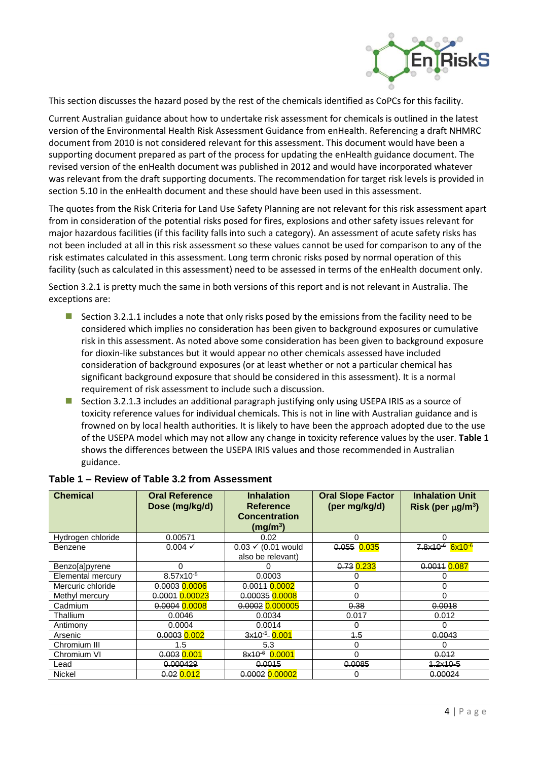

This section discusses the hazard posed by the rest of the chemicals identified as CoPCs for this facility.

Current Australian guidance about how to undertake risk assessment for chemicals is outlined in the latest version of the Environmental Health Risk Assessment Guidance from enHealth. Referencing a draft NHMRC document from 2010 is not considered relevant for this assessment. This document would have been a supporting document prepared as part of the process for updating the enHealth guidance document. The revised version of the enHealth document was published in 2012 and would have incorporated whatever was relevant from the draft supporting documents. The recommendation for target risk levels is provided in section 5.10 in the enHealth document and these should have been used in this assessment.

The quotes from the Risk Criteria for Land Use Safety Planning are not relevant for this risk assessment apart from in consideration of the potential risks posed for fires, explosions and other safety issues relevant for major hazardous facilities (if this facility falls into such a category). An assessment of acute safety risks has not been included at all in this risk assessment so these values cannot be used for comparison to any of the risk estimates calculated in this assessment. Long term chronic risks posed by normal operation of this facility (such as calculated in this assessment) need to be assessed in terms of the enHealth document only.

Section 3.2.1 is pretty much the same in both versions of this report and is not relevant in Australia. The exceptions are:

- **Section 3.2.1.1 includes a note that only risks posed by the emissions from the facility need to be** considered which implies no consideration has been given to background exposures or cumulative risk in this assessment. As noted above some consideration has been given to background exposure for dioxin-like substances but it would appear no other chemicals assessed have included consideration of background exposures (or at least whether or not a particular chemical has significant background exposure that should be considered in this assessment). It is a normal requirement of risk assessment to include such a discussion.
- **Section 3.2.1.3 includes an additional paragraph justifying only using USEPA IRIS as a source of** toxicity reference values for individual chemicals. This is not in line with Australian guidance and is frowned on by local health authorities. It is likely to have been the approach adopted due to the use of the USEPA model which may not allow any change in toxicity reference values by the user. **Table 1** shows the differences between the USEPA IRIS values and those recommended in Australian guidance.

| <b>Chemical</b>   | <b>Oral Reference</b><br>Dose (mg/kg/d) | <b>Inhalation</b><br><b>Reference</b><br><b>Concentration</b><br>(mg/m <sup>3</sup> ) | <b>Oral Slope Factor</b><br>(per mg/kg/d) | <b>Inhalation Unit</b><br>Risk (per $\mu$ g/m <sup>3</sup> ) |  |  |  |
|-------------------|-----------------------------------------|---------------------------------------------------------------------------------------|-------------------------------------------|--------------------------------------------------------------|--|--|--|
| Hydrogen chloride | 0.00571                                 | 0.02                                                                                  | 0                                         |                                                              |  |  |  |
| Benzene           | $0.004 \checkmark$                      | $0.03 \times (0.01$ would<br>also be relevant)                                        | 0.055 0.035                               | $7.8 \times 10^{-6}$ 6x10 <sup>-6</sup>                      |  |  |  |
| Benzo[a]pyrene    | $\Omega$                                |                                                                                       | 0.73 0.233                                | 0.0011 0.087                                                 |  |  |  |
| Elemental mercury | $8.57x10^{-5}$                          | 0.0003                                                                                | 0                                         |                                                              |  |  |  |
| Mercuric chloride | 0.0003 0.0006                           | 0.0011 0.0002                                                                         | 0                                         | 0                                                            |  |  |  |
| Methyl mercury    | 0.0001 0.00023                          | 0.00035 0.0008                                                                        | $\Omega$                                  | 0                                                            |  |  |  |
| Cadmium           | 0.0004 0.0008                           | 0.0002 0.000005                                                                       | 0.38                                      | 0.0018                                                       |  |  |  |
| Thallium          | 0.0046                                  | 0.0034                                                                                | 0.017                                     | 0.012                                                        |  |  |  |
| Antimony          | 0.0004                                  | 0.0014                                                                                | 0                                         | 0                                                            |  |  |  |
| Arsenic           | $0.0003$ $0.002$                        | $3x10^{-5}$ 0.001                                                                     | 4.5                                       | 0.0043                                                       |  |  |  |
| Chromium III      | 1.5                                     | 5.3                                                                                   | 0                                         | O                                                            |  |  |  |
| Chromium VI       | 0.003 0.001                             | 8x10 <sup>-6</sup> 0.0001                                                             | 0                                         | 0.012                                                        |  |  |  |
| Lead              | 0.000429                                | 0.0015                                                                                | 0.0085                                    | $4.2x10-5$                                                   |  |  |  |
| Nickel            | $0.02$ 0.012                            | 0.0002 0.00002                                                                        | 0                                         | 0.00024                                                      |  |  |  |

### **Table 1 – Review of Table 3.2 from Assessment**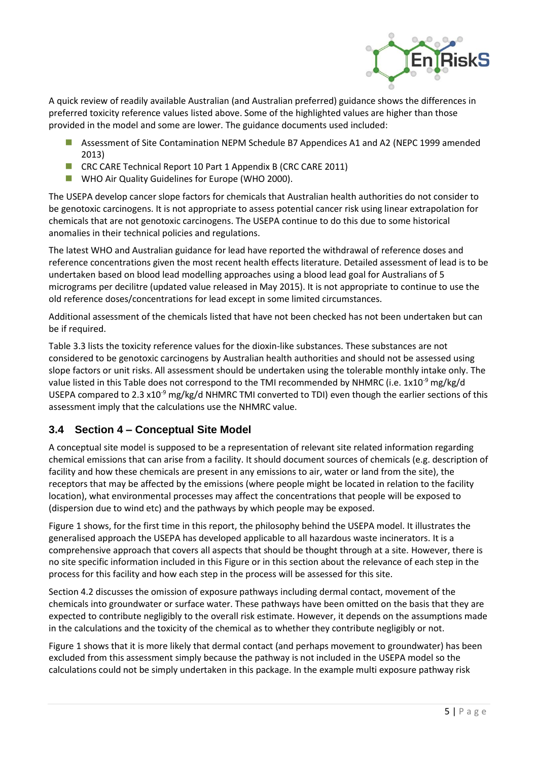

A quick review of readily available Australian (and Australian preferred) guidance shows the differences in preferred toxicity reference values listed above. Some of the highlighted values are higher than those provided in the model and some are lower. The guidance documents used included:

- Assessment of Site Contamination NEPM Schedule B7 Appendices A1 and A2 (NEPC 1999 amended 2013)
- CRC CARE Technical Report 10 Part 1 Appendix B (CRC CARE 2011)
- **WHO Air Quality Guidelines for Europe (WHO 2000).**

The USEPA develop cancer slope factors for chemicals that Australian health authorities do not consider to be genotoxic carcinogens. It is not appropriate to assess potential cancer risk using linear extrapolation for chemicals that are not genotoxic carcinogens. The USEPA continue to do this due to some historical anomalies in their technical policies and regulations.

The latest WHO and Australian guidance for lead have reported the withdrawal of reference doses and reference concentrations given the most recent health effects literature. Detailed assessment of lead is to be undertaken based on blood lead modelling approaches using a blood lead goal for Australians of 5 micrograms per decilitre (updated value released in May 2015). It is not appropriate to continue to use the old reference doses/concentrations for lead except in some limited circumstances.

Additional assessment of the chemicals listed that have not been checked has not been undertaken but can be if required.

Table 3.3 lists the toxicity reference values for the dioxin-like substances. These substances are not considered to be genotoxic carcinogens by Australian health authorities and should not be assessed using slope factors or unit risks. All assessment should be undertaken using the tolerable monthly intake only. The value listed in this Table does not correspond to the TMI recommended by NHMRC (i.e. 1x10<sup>-9</sup> mg/kg/d USEPA compared to 2.3 x10<sup>-9</sup> mg/kg/d NHMRC TMI converted to TDI) even though the earlier sections of this assessment imply that the calculations use the NHMRC value.

# **3.4 Section 4 – Conceptual Site Model**

A conceptual site model is supposed to be a representation of relevant site related information regarding chemical emissions that can arise from a facility. It should document sources of chemicals (e.g. description of facility and how these chemicals are present in any emissions to air, water or land from the site), the receptors that may be affected by the emissions (where people might be located in relation to the facility location), what environmental processes may affect the concentrations that people will be exposed to (dispersion due to wind etc) and the pathways by which people may be exposed.

Figure 1 shows, for the first time in this report, the philosophy behind the USEPA model. It illustrates the generalised approach the USEPA has developed applicable to all hazardous waste incinerators. It is a comprehensive approach that covers all aspects that should be thought through at a site. However, there is no site specific information included in this Figure or in this section about the relevance of each step in the process for this facility and how each step in the process will be assessed for this site.

Section 4.2 discusses the omission of exposure pathways including dermal contact, movement of the chemicals into groundwater or surface water. These pathways have been omitted on the basis that they are expected to contribute negligibly to the overall risk estimate. However, it depends on the assumptions made in the calculations and the toxicity of the chemical as to whether they contribute negligibly or not.

Figure 1 shows that it is more likely that dermal contact (and perhaps movement to groundwater) has been excluded from this assessment simply because the pathway is not included in the USEPA model so the calculations could not be simply undertaken in this package. In the example multi exposure pathway risk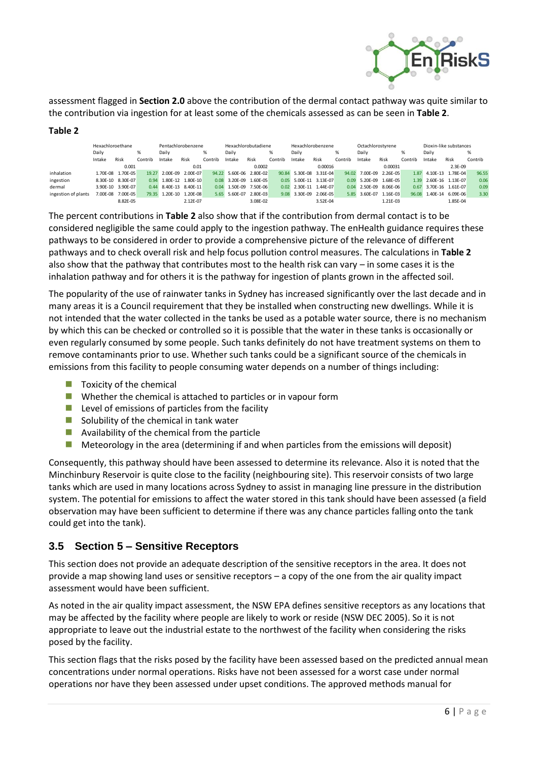

assessment flagged in **Section 2.0** above the contribution of the dermal contact pathway was quite similar to the contribution via ingestion for at least some of the chemicals assessed as can be seen in **Table 2**.

#### **Table 2**

|                     | Hexachloroethane |                   |         | Pentachlorobenzene |          | Hexachlorobutadiene |          | Hexachlorobenzene |                   |          | Octachlorostvrene |         |               | Dioxin-like substances |         |        |                   |         |
|---------------------|------------------|-------------------|---------|--------------------|----------|---------------------|----------|-------------------|-------------------|----------|-------------------|---------|---------------|------------------------|---------|--------|-------------------|---------|
|                     | Daily            |                   | %       | Daily              |          | %                   | Daily    |                   | %                 | Daily    |                   |         | Dailv         |                        | ℅       | Daily  |                   | %       |
|                     | Intake           | Risk              | Contrib | Intake             | Risk     | Contrib             | Intake   | Risk              | Contrib           | Intake   | Risk              | Contrib | Intake        | Risk                   | Contrib | Intake | Risk              | Contrib |
|                     |                  | 0.001             |         |                    | 0.01     |                     |          | 0.0002            |                   |          | 0.00016           |         |               | 0.00031                |         |        | $2.3E-09$         |         |
| inhalation          |                  | 1.70F-08 1.70F-05 |         | 19.27 2.00F-09     | 2.00F-07 | 94.22               | 5.60F-06 | 2.80F-02          | 90.84             |          | 5.30F-08 3.31F-04 | 94.02   | 7.00F-09      | 2.26F-05               | 1.87    |        | 4.10E-13 1.78E-04 | 96.55   |
| ingestion           |                  | 8.30E-10 8.30E-07 | 0.94    | 1.80E-12 1.80E-10  |          | 0.08                | 3.20E-09 | 1.60E-05          | 0.05              |          | 5.00E-11 3.13E-07 | 0.09    | 5.20E-09      | 1.68F-05               | 1.39    |        | 2.60E-16 1.13E-07 | 0.06    |
| dermal              |                  | 3.90E-10 3.90E-07 | 0.44    | 8.40E-13 8.40E-11  |          | 0.04                | 1.50F-09 | 7.50E-06          | 0.02 <sub>1</sub> |          | 2.30E-11 1.44E-07 | 0.04    | 2.50F-09      | 8.06F-06               | 0.67    |        | 3.70E-16 1.61E-07 | 0.09    |
| ingestion of plants |                  | 7.00E-08 7.00E-05 |         | 79.35 1.20E-10     | 1.20E-08 | 5.65                | 5.60F-07 | 2.80E-03          | 9.08              | 3.30E-09 | 2.06E-05          |         | 5.85 3.60E-07 | 1.16E-03               | 96.08   |        | 1.40E-14 6.09E-06 | 3.30    |
|                     |                  | 8.82E-05          |         |                    | 2.12F-07 |                     |          | 3.08E-02          |                   |          | 3.52E-04          |         |               | 1.21E-03               |         |        | 1.85E-04          |         |

The percent contributions in **Table 2** also show that if the contribution from dermal contact is to be considered negligible the same could apply to the ingestion pathway. The enHealth guidance requires these pathways to be considered in order to provide a comprehensive picture of the relevance of different pathways and to check overall risk and help focus pollution control measures. The calculations in **Table 2** also show that the pathway that contributes most to the health risk can vary – in some cases it is the inhalation pathway and for others it is the pathway for ingestion of plants grown in the affected soil.

The popularity of the use of rainwater tanks in Sydney has increased significantly over the last decade and in many areas it is a Council requirement that they be installed when constructing new dwellings. While it is not intended that the water collected in the tanks be used as a potable water source, there is no mechanism by which this can be checked or controlled so it is possible that the water in these tanks is occasionally or even regularly consumed by some people. Such tanks definitely do not have treatment systems on them to remove contaminants prior to use. Whether such tanks could be a significant source of the chemicals in emissions from this facility to people consuming water depends on a number of things including:

- $\blacksquare$  Toxicity of the chemical
- Whether the chemical is attached to particles or in vapour form
- $\blacksquare$  Level of emissions of particles from the facility
- $\blacksquare$  Solubility of the chemical in tank water
- **Availability of the chemical from the particle**
- $\blacksquare$  Meteorology in the area (determining if and when particles from the emissions will deposit)

Consequently, this pathway should have been assessed to determine its relevance. Also it is noted that the Minchinbury Reservoir is quite close to the facility (neighbouring site). This reservoir consists of two large tanks which are used in many locations across Sydney to assist in managing line pressure in the distribution system. The potential for emissions to affect the water stored in this tank should have been assessed (a field observation may have been sufficient to determine if there was any chance particles falling onto the tank could get into the tank).

### **3.5 Section 5 – Sensitive Receptors**

This section does not provide an adequate description of the sensitive receptors in the area. It does not provide a map showing land uses or sensitive receptors – a copy of the one from the air quality impact assessment would have been sufficient.

As noted in the air quality impact assessment, the NSW EPA defines sensitive receptors as any locations that may be affected by the facility where people are likely to work or reside (NSW DEC 2005). So it is not appropriate to leave out the industrial estate to the northwest of the facility when considering the risks posed by the facility.

This section flags that the risks posed by the facility have been assessed based on the predicted annual mean concentrations under normal operations. Risks have not been assessed for a worst case under normal operations nor have they been assessed under upset conditions. The approved methods manual for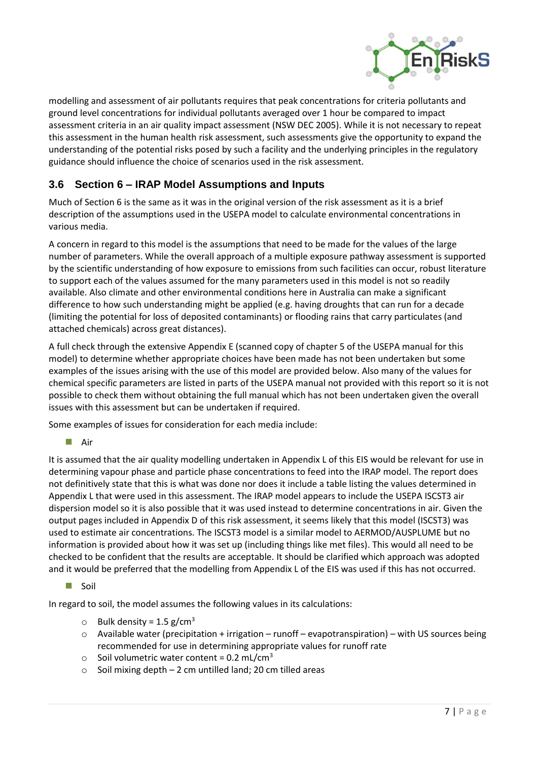

modelling and assessment of air pollutants requires that peak concentrations for criteria pollutants and ground level concentrations for individual pollutants averaged over 1 hour be compared to impact assessment criteria in an air quality impact assessment (NSW DEC 2005). While it is not necessary to repeat this assessment in the human health risk assessment, such assessments give the opportunity to expand the understanding of the potential risks posed by such a facility and the underlying principles in the regulatory guidance should influence the choice of scenarios used in the risk assessment.

# **3.6 Section 6 – IRAP Model Assumptions and Inputs**

Much of Section 6 is the same as it was in the original version of the risk assessment as it is a brief description of the assumptions used in the USEPA model to calculate environmental concentrations in various media.

A concern in regard to this model is the assumptions that need to be made for the values of the large number of parameters. While the overall approach of a multiple exposure pathway assessment is supported by the scientific understanding of how exposure to emissions from such facilities can occur, robust literature to support each of the values assumed for the many parameters used in this model is not so readily available. Also climate and other environmental conditions here in Australia can make a significant difference to how such understanding might be applied (e.g. having droughts that can run for a decade (limiting the potential for loss of deposited contaminants) or flooding rains that carry particulates (and attached chemicals) across great distances).

A full check through the extensive Appendix E (scanned copy of chapter 5 of the USEPA manual for this model) to determine whether appropriate choices have been made has not been undertaken but some examples of the issues arising with the use of this model are provided below. Also many of the values for chemical specific parameters are listed in parts of the USEPA manual not provided with this report so it is not possible to check them without obtaining the full manual which has not been undertaken given the overall issues with this assessment but can be undertaken if required.

Some examples of issues for consideration for each media include:

### **Air**

It is assumed that the air quality modelling undertaken in Appendix L of this EIS would be relevant for use in determining vapour phase and particle phase concentrations to feed into the IRAP model. The report does not definitively state that this is what was done nor does it include a table listing the values determined in Appendix L that were used in this assessment. The IRAP model appears to include the USEPA ISCST3 air dispersion model so it is also possible that it was used instead to determine concentrations in air. Given the output pages included in Appendix D of this risk assessment, it seems likely that this model (ISCST3) was used to estimate air concentrations. The ISCST3 model is a similar model to AERMOD/AUSPLUME but no information is provided about how it was set up (including things like met files). This would all need to be checked to be confident that the results are acceptable. It should be clarified which approach was adopted and it would be preferred that the modelling from Appendix L of the EIS was used if this has not occurred.

**Soil** 

In regard to soil, the model assumes the following values in its calculations:

- $\circ$  Bulk density = 1.5 g/cm<sup>3</sup>
- $\circ$  Available water (precipitation + irrigation runoff evapotranspiration) with US sources being recommended for use in determining appropriate values for runoff rate
- $\circ$  Soil volumetric water content = 0.2 mL/cm<sup>3</sup>
- o Soil mixing depth 2 cm untilled land; 20 cm tilled areas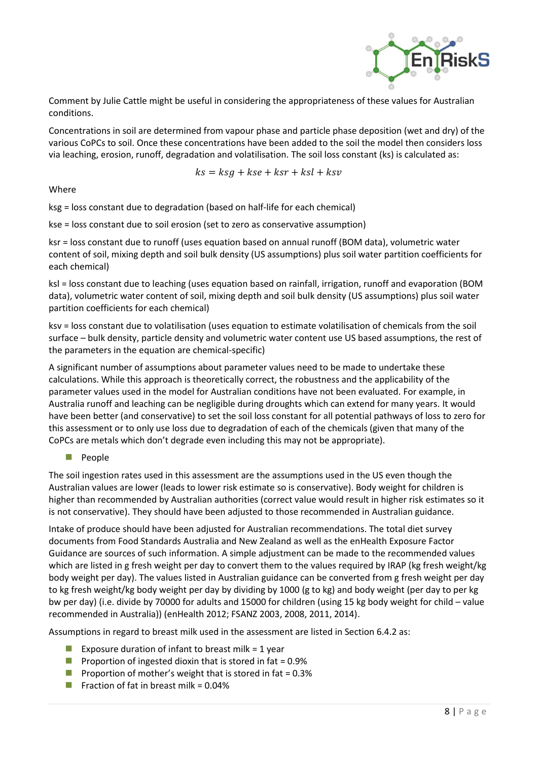

Comment by Julie Cattle might be useful in considering the appropriateness of these values for Australian conditions.

Concentrations in soil are determined from vapour phase and particle phase deposition (wet and dry) of the various CoPCs to soil. Once these concentrations have been added to the soil the model then considers loss via leaching, erosion, runoff, degradation and volatilisation. The soil loss constant (ks) is calculated as:

$$
ks = ksg + kse + ksr + ksl + ksv
$$

#### Where

ksg = loss constant due to degradation (based on half-life for each chemical)

kse = loss constant due to soil erosion (set to zero as conservative assumption)

ksr = loss constant due to runoff (uses equation based on annual runoff (BOM data), volumetric water content of soil, mixing depth and soil bulk density (US assumptions) plus soil water partition coefficients for each chemical)

ksl = loss constant due to leaching (uses equation based on rainfall, irrigation, runoff and evaporation (BOM data), volumetric water content of soil, mixing depth and soil bulk density (US assumptions) plus soil water partition coefficients for each chemical)

ksv = loss constant due to volatilisation (uses equation to estimate volatilisation of chemicals from the soil surface – bulk density, particle density and volumetric water content use US based assumptions, the rest of the parameters in the equation are chemical-specific)

A significant number of assumptions about parameter values need to be made to undertake these calculations. While this approach is theoretically correct, the robustness and the applicability of the parameter values used in the model for Australian conditions have not been evaluated. For example, in Australia runoff and leaching can be negligible during droughts which can extend for many years. It would have been better (and conservative) to set the soil loss constant for all potential pathways of loss to zero for this assessment or to only use loss due to degradation of each of the chemicals (given that many of the CoPCs are metals which don't degrade even including this may not be appropriate).

### **People**

The soil ingestion rates used in this assessment are the assumptions used in the US even though the Australian values are lower (leads to lower risk estimate so is conservative). Body weight for children is higher than recommended by Australian authorities (correct value would result in higher risk estimates so it is not conservative). They should have been adjusted to those recommended in Australian guidance.

Intake of produce should have been adjusted for Australian recommendations. The total diet survey documents from Food Standards Australia and New Zealand as well as the enHealth Exposure Factor Guidance are sources of such information. A simple adjustment can be made to the recommended values which are listed in g fresh weight per day to convert them to the values required by IRAP (kg fresh weight/kg body weight per day). The values listed in Australian guidance can be converted from g fresh weight per day to kg fresh weight/kg body weight per day by dividing by 1000 (g to kg) and body weight (per day to per kg bw per day) (i.e. divide by 70000 for adults and 15000 for children (using 15 kg body weight for child – value recommended in Australia)) (enHealth 2012; FSANZ 2003, 2008, 2011, 2014).

Assumptions in regard to breast milk used in the assessment are listed in Section 6.4.2 as:

- Exposure duration of infant to breast milk =  $1$  year
- **Proportion of ingested dioxin that is stored in fat = 0.9%**
- **Proportion of mother's weight that is stored in fat = 0.3%**
- **Fraction of fat in breast milk = 0.04%**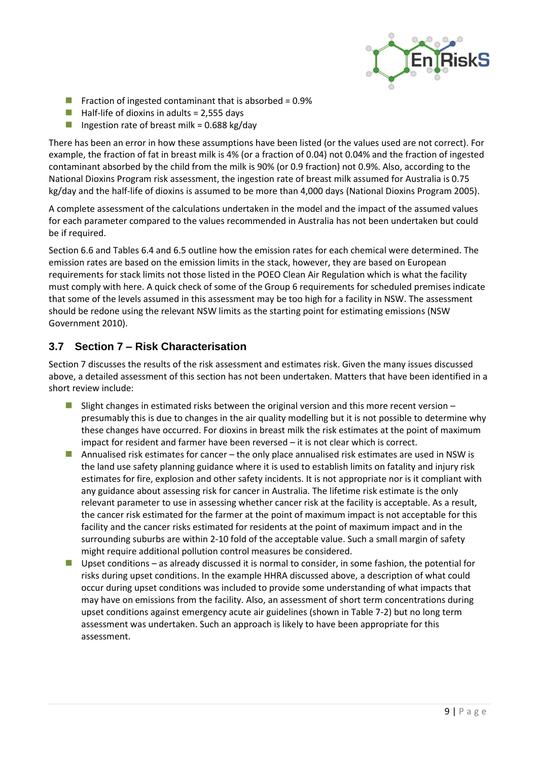

- **F** Fraction of ingested contaminant that is absorbed =  $0.9\%$
- $\blacksquare$  Half-life of dioxins in adults = 2,555 days
- Ingestion rate of breast milk =  $0.688$  kg/day

There has been an error in how these assumptions have been listed (or the values used are not correct). For example, the fraction of fat in breast milk is 4% (or a fraction of 0.04) not 0.04% and the fraction of ingested contaminant absorbed by the child from the milk is 90% (or 0.9 fraction) not 0.9%. Also, according to the National Dioxins Program risk assessment, the ingestion rate of breast milk assumed for Australia is 0.75 kg/day and the half-life of dioxins is assumed to be more than 4,000 days (National Dioxins Program 2005).

A complete assessment of the calculations undertaken in the model and the impact of the assumed values for each parameter compared to the values recommended in Australia has not been undertaken but could be if required.

Section 6.6 and Tables 6.4 and 6.5 outline how the emission rates for each chemical were determined. The emission rates are based on the emission limits in the stack, however, they are based on European requirements for stack limits not those listed in the POEO Clean Air Regulation which is what the facility must comply with here. A quick check of some of the Group 6 requirements for scheduled premises indicate that some of the levels assumed in this assessment may be too high for a facility in NSW. The assessment should be redone using the relevant NSW limits as the starting point for estimating emissions (NSW Government 2010).

### **3.7 Section 7 – Risk Characterisation**

Section 7 discusses the results of the risk assessment and estimates risk. Given the many issues discussed above, a detailed assessment of this section has not been undertaken. Matters that have been identified in a short review include:

- **Slight changes in estimated risks between the original version and this more recent version** presumably this is due to changes in the air quality modelling but it is not possible to determine why these changes have occurred. For dioxins in breast milk the risk estimates at the point of maximum impact for resident and farmer have been reversed – it is not clear which is correct.
- Annualised risk estimates for cancer the only place annualised risk estimates are used in NSW is the land use safety planning guidance where it is used to establish limits on fatality and injury risk estimates for fire, explosion and other safety incidents. It is not appropriate nor is it compliant with any guidance about assessing risk for cancer in Australia. The lifetime risk estimate is the only relevant parameter to use in assessing whether cancer risk at the facility is acceptable. As a result, the cancer risk estimated for the farmer at the point of maximum impact is not acceptable for this facility and the cancer risks estimated for residents at the point of maximum impact and in the surrounding suburbs are within 2-10 fold of the acceptable value. Such a small margin of safety might require additional pollution control measures be considered.
- Upset conditions as already discussed it is normal to consider, in some fashion, the potential for risks during upset conditions. In the example HHRA discussed above, a description of what could occur during upset conditions was included to provide some understanding of what impacts that may have on emissions from the facility. Also, an assessment of short term concentrations during upset conditions against emergency acute air guidelines (shown in Table 7-2) but no long term assessment was undertaken. Such an approach is likely to have been appropriate for this assessment.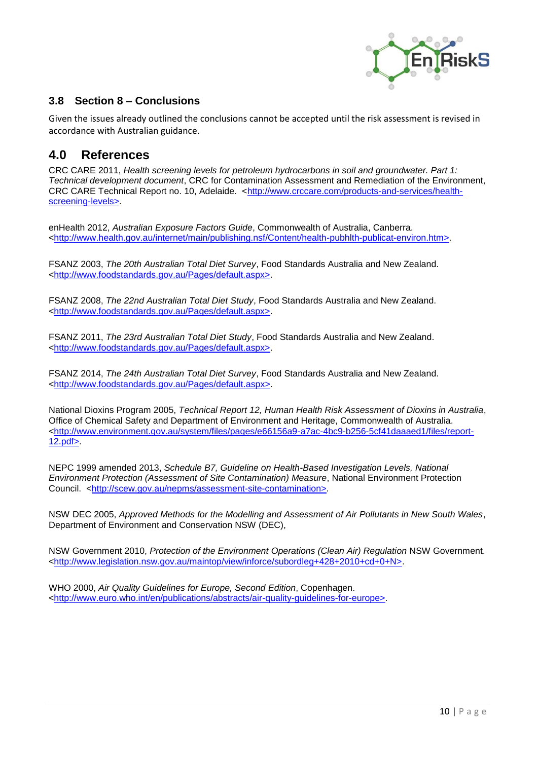

## **3.8 Section 8 – Conclusions**

Given the issues already outlined the conclusions cannot be accepted until the risk assessment is revised in accordance with Australian guidance.

# **4.0 References**

CRC CARE 2011, *Health screening levels for petroleum hydrocarbons in soil and groundwater. Part 1: Technical development document*, CRC for Contamination Assessment and Remediation of the Environment, CRC CARE Technical Report no. 10, Adelaide. [<http://www.crccare.com/products-and-services/health](http://www.crccare.com/products-and-services/health-screening-levels%3e)[screening-levels>.](http://www.crccare.com/products-and-services/health-screening-levels%3e)

enHealth 2012, *Australian Exposure Factors Guide*, Commonwealth of Australia, Canberra. [<http://www.health.gov.au/internet/main/publishing.nsf/Content/health-pubhlth-publicat-environ.htm>.](http://www.health.gov.au/internet/main/publishing.nsf/Content/health-pubhlth-publicat-environ.htm%3e)

FSANZ 2003, *The 20th Australian Total Diet Survey*, Food Standards Australia and New Zealand. [<http://www.foodstandards.gov.au/Pages/default.aspx>.](http://www.foodstandards.gov.au/Pages/default.aspx%3e)

FSANZ 2008, *The 22nd Australian Total Diet Study*, Food Standards Australia and New Zealand. [<http://www.foodstandards.gov.au/Pages/default.aspx>.](http://www.foodstandards.gov.au/Pages/default.aspx%3e)

FSANZ 2011, *The 23rd Australian Total Diet Study*, Food Standards Australia and New Zealand. [<http://www.foodstandards.gov.au/Pages/default.aspx>.](http://www.foodstandards.gov.au/Pages/default.aspx%3e)

FSANZ 2014, *The 24th Australian Total Diet Survey*, Food Standards Australia and New Zealand. [<http://www.foodstandards.gov.au/Pages/default.aspx>.](http://www.foodstandards.gov.au/Pages/default.aspx%3e)

National Dioxins Program 2005, *Technical Report 12, Human Health Risk Assessment of Dioxins in Australia*, Office of Chemical Safety and Department of Environment and Heritage, Commonwealth of Australia. [<http://www.environment.gov.au/system/files/pages/e66156a9-a7ac-4bc9-b256-5cf41daaaed1/files/report-](http://www.environment.gov.au/system/files/pages/e66156a9-a7ac-4bc9-b256-5cf41daaaed1/files/report-12.pdf%3e)[12.pdf>.](http://www.environment.gov.au/system/files/pages/e66156a9-a7ac-4bc9-b256-5cf41daaaed1/files/report-12.pdf%3e)

NEPC 1999 amended 2013, *Schedule B7, Guideline on Health-Based Investigation Levels, National Environment Protection (Assessment of Site Contamination) Measure*, National Environment Protection Council. [<http://scew.gov.au/nepms/assessment-site-contamination>.](http://scew.gov.au/nepms/assessment-site-contamination%3e)

NSW DEC 2005, *Approved Methods for the Modelling and Assessment of Air Pollutants in New South Wales*, Department of Environment and Conservation NSW (DEC),

NSW Government 2010, *Protection of the Environment Operations (Clean Air) Regulation* NSW Government. [<http://www.legislation.nsw.gov.au/maintop/view/inforce/subordleg+428+2010+cd+0+N>.](http://www.legislation.nsw.gov.au/maintop/view/inforce/subordleg+428+2010+cd+0+N%3e)

WHO 2000, *Air Quality Guidelines for Europe, Second Edition*, Copenhagen. [<http://www.euro.who.int/en/publications/abstracts/air-quality-guidelines-for-europe>.](http://www.euro.who.int/en/publications/abstracts/air-quality-guidelines-for-europe%3e)